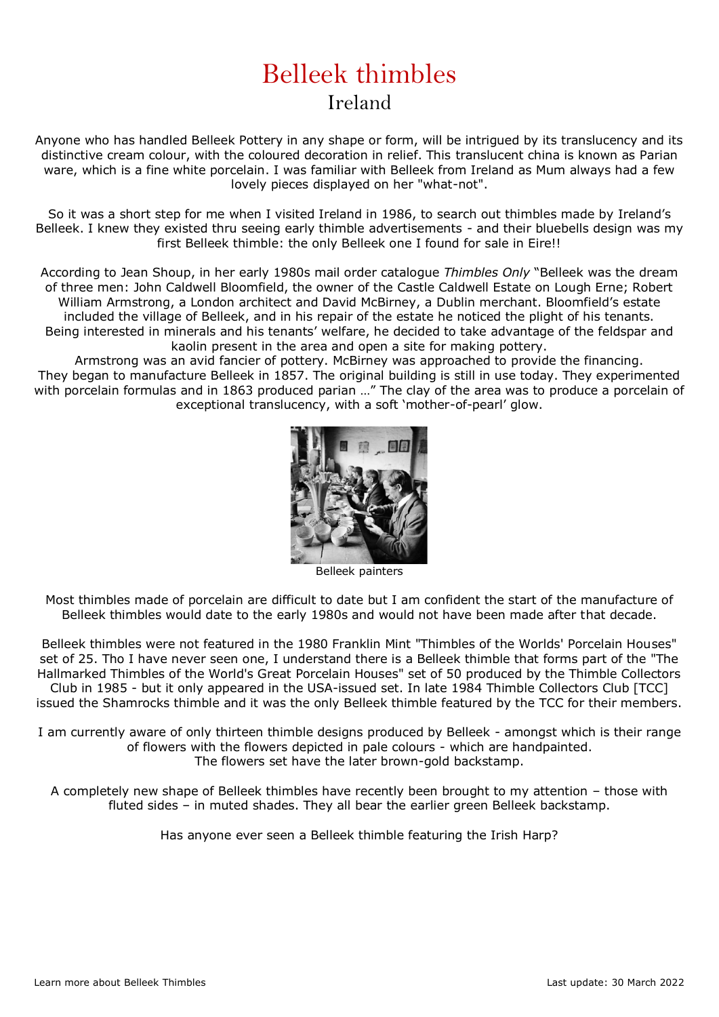## Belleek thimbles Ireland

Anyone who has handled Belleek Pottery in any shape or form, will be intrigued by its translucency and its distinctive cream colour, with the coloured decoration in relief. This translucent china is known as Parian ware, which is a fine white porcelain. I was familiar with Belleek from Ireland as Mum always had a few lovely pieces displayed on her "what-not".

So it was a short step for me when I visited Ireland in 1986, to search out thimbles made by Ireland's Belleek. I knew they existed thru seeing early thimble advertisements - and their bluebells design was my first Belleek thimble: the only Belleek one I found for sale in Eire!!

According to Jean Shoup, in her early 1980s mail order catalogue *Thimbles Only* "Belleek was the dream of three men: John Caldwell Bloomfield, the owner of the Castle Caldwell Estate on Lough Erne; Robert William Armstrong, a London architect and David McBirney, a Dublin merchant. Bloomfield's estate included the village of Belleek, and in his repair of the estate he noticed the plight of his tenants. Being interested in minerals and his tenants' welfare, he decided to take advantage of the feldspar and kaolin present in the area and open a site for making pottery.

Armstrong was an avid fancier of pottery. McBirney was approached to provide the financing. They began to manufacture Belleek in 1857. The original building is still in use today. They experimented with porcelain formulas and in 1863 produced parian …" The clay of the area was to produce a porcelain of exceptional translucency, with a soft 'mother-of-pearl' glow.



Belleek painters

Most thimbles made of porcelain are difficult to date but I am confident the start of the manufacture of Belleek thimbles would date to the early 1980s and would not have been made after that decade.

Belleek thimbles were not featured in the 1980 Franklin Mint "Thimbles of the Worlds' Porcelain Houses" set of 25. Tho I have never seen one, I understand there is a Belleek thimble that forms part of the "The Hallmarked Thimbles of the World's Great Porcelain Houses" set of 50 produced by the Thimble Collectors Club in 1985 - but it only appeared in the USA-issued set. In late 1984 Thimble Collectors Club [TCC] issued the Shamrocks thimble and it was the only Belleek thimble featured by the TCC for their members.

I am currently aware of only thirteen thimble designs produced by Belleek - amongst which is their range of flowers with the flowers depicted in pale colours - which are handpainted. The flowers set have the later brown-gold backstamp.

A completely new shape of Belleek thimbles have recently been brought to my attention – those with fluted sides – in muted shades. They all bear the earlier green Belleek backstamp.

Has anyone ever seen a Belleek thimble featuring the Irish Harp?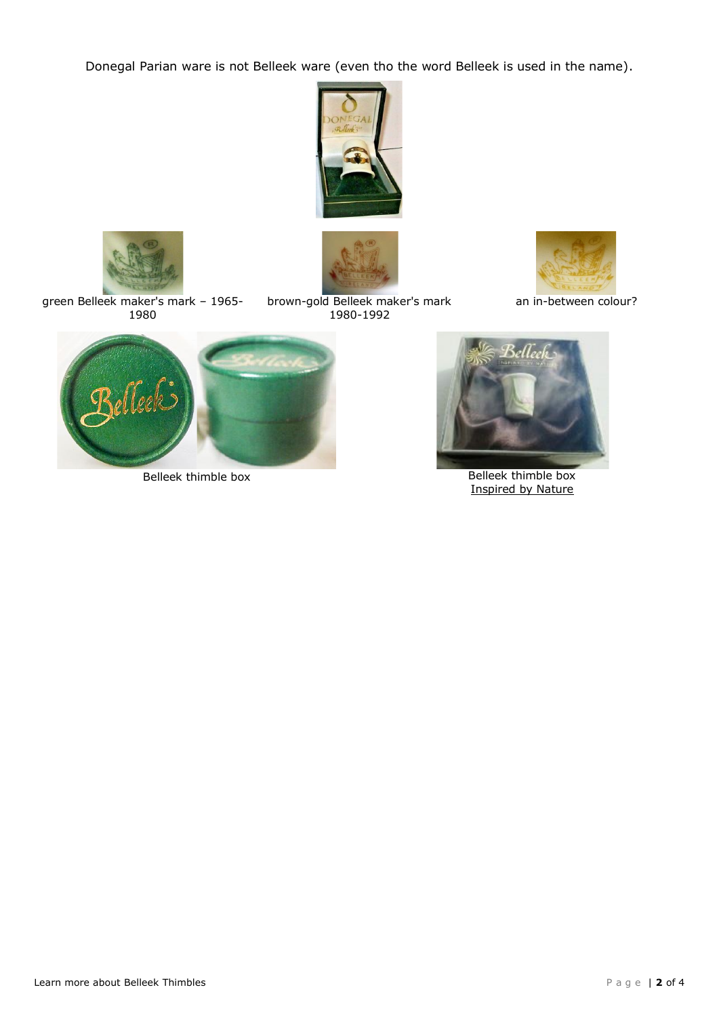Donegal Parian ware is not Belleek ware (even tho the word Belleek is used in the name).





1980

brown-gold Belleek maker's mark 1980-1992



an in-between colour?





Belleek thimble box Belleek thimble box Inspired by Nature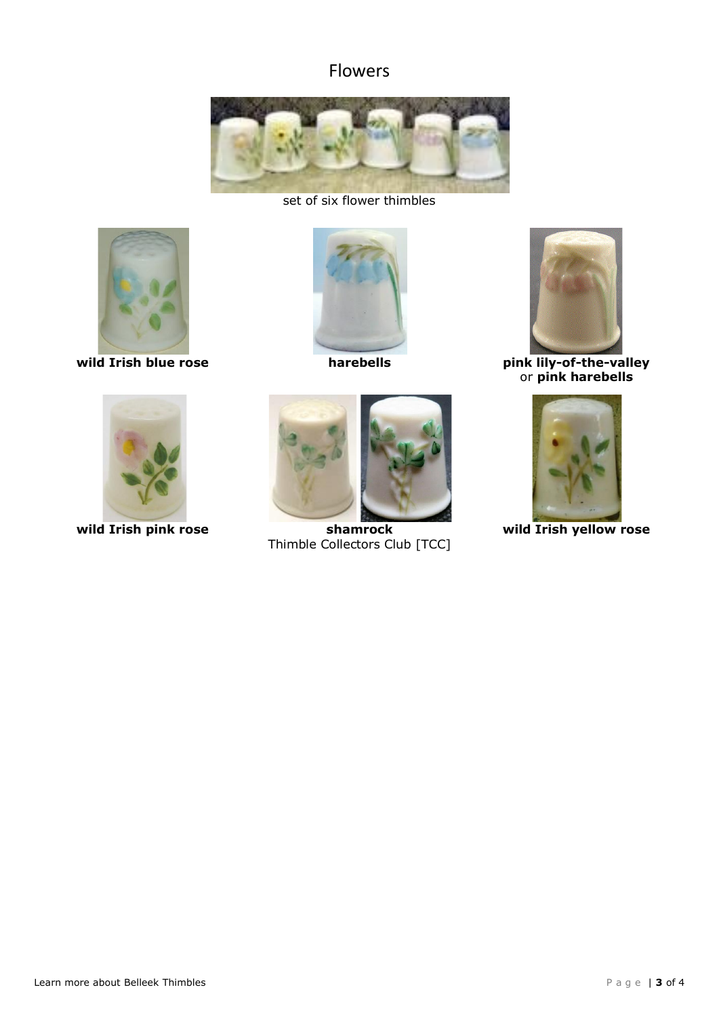## Flowers



set of six flower thimbles







**wild Irish pink rose shamrock**



Thimble Collectors Club [TCC]



**wild Irish blue rose harebells pink lily-of-the-valley** or **pink harebells**



**wild Irish yellow rose**